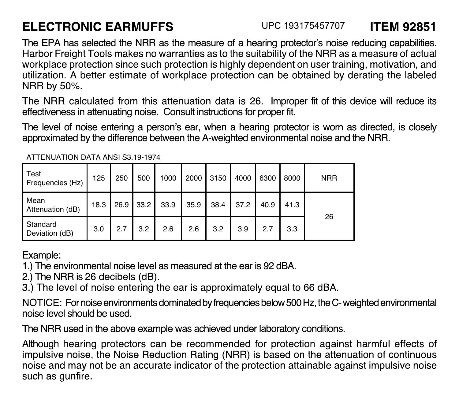## **FLECTRONIC FARMUFFS**

The EPA has selected the NRR as the measure of a hearing protector's noise reducing capabilities. Harbor Freight Tools makes no warranties as to the suitability of the NRR as a measure of actual workplace protection since such protection is highly dependent on user training, motivation, and utilization. A better estimate of workplace protection can be obtained by derating the labeled NRR by 50%.

The NRR calculated from this attenuation data is 26. Improper fit of this device will reduce its effectiveness in attenuating noise. Consult instructions for proper fit.

The level of noise entering a person's ear, when a hearing protector is worn as directed, is closely approximated by the difference between the A-weighted environmental noise and the NRR.

| Test<br>Frequencies (Hz)   | 125 | 250 | 500            | 1000 |      |      | 2000 3150 4000 6300 |      | 8000 | <b>NRR</b> |
|----------------------------|-----|-----|----------------|------|------|------|---------------------|------|------|------------|
| Mean<br>Attenuation (dB)   |     |     | 18.3 26.9 33.2 | 33.9 | 35.9 | 38.4 | 37.2                | 40.9 | 41.3 | 26         |
| Standard<br>Deviation (dB) | 3.0 | 2.7 | 3.2            | 2.6  | 2.6  | 3.2  | 3.9                 | 2.7  | 3.3  |            |

ATTENHATION DATA ANSLS3 19-1974

Fxample:

1.) The environmental noise level as measured at the ear is 92 dBA.

2.) The NRR is 26 decibels (dB).

3.) The level of noise entering the ear is approximately equal to 66 dBA.

NOTICE: For noise environments dominated by frequencies below 500 Hz, the C- weighted environmental hezu ed blundz level ezion

The NRR used in the above example was achieved under laboratory conditions.

Although hearing protectors can be recommended for protection against harmful effects of impulsive noise, the Noise Reduction Rating (NRR) is based on the attenuation of continuous noise and may not be an accurate indicator of the protection attainable against impulsive noise such as gunfire.